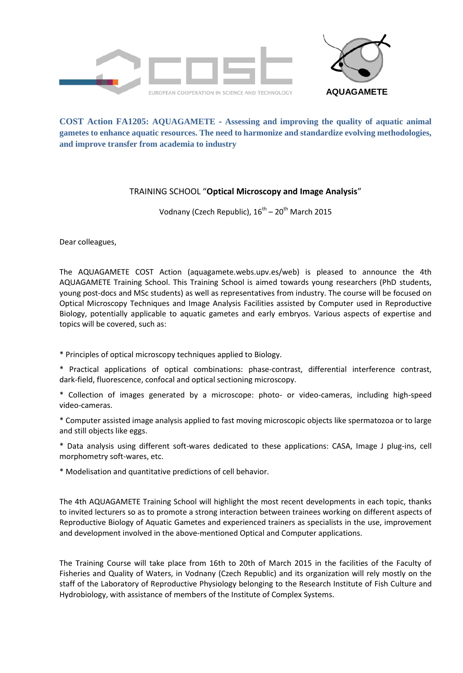

## **COST Action FA1205: AQUAGAMETE** ‐ **Assessing and improving the quality of aquatic animal gametes to enhance aquatic resources. The need to harmonize and standardize evolving methodologies, and improve transfer from academia to industry**

## TRAINING SCHOOL "**Optical Microscopy and Image Analysis**"

Vodnany (Czech Republic), 16<sup>th</sup> – 20<sup>th</sup> March 2015

Dear colleagues,

The AQUAGAMETE COST Action (aquagamete.webs.upv.es/web) is pleased to announce the 4th AQUAGAMETE Training School. This Training School is aimed towards young researchers (PhD students, young post-docs and MSc students) as well as representatives from industry. The course will be focused on Optical Microscopy Techniques and Image Analysis Facilities assisted by Computer used in Reproductive Biology, potentially applicable to aquatic gametes and early embryos. Various aspects of expertise and topics will be covered, such as:

\* Principles of optical microscopy techniques applied to Biology.

\* Practical applications of optical combinations: phase-contrast, differential interference contrast, dark-field, fluorescence, confocal and optical sectioning microscopy.

\* Collection of images generated by a microscope: photo- or video-cameras, including high-speed video-cameras.

\* Computer assisted image analysis applied to fast moving microscopic objects like spermatozoa or to large and still objects like eggs.

\* Data analysis using different soft-wares dedicated to these applications: CASA, Image J plug-ins, cell morphometry soft-wares, etc.

\* Modelisation and quantitative predictions of cell behavior.

The 4th AQUAGAMETE Training School will highlight the most recent developments in each topic, thanks to invited lecturers so as to promote a strong interaction between trainees working on different aspects of Reproductive Biology of Aquatic Gametes and experienced trainers as specialists in the use, improvement and development involved in the above-mentioned Optical and Computer applications.

The Training Course will take place from 16th to 20th of March 2015 in the facilities of the Faculty of Fisheries and Quality of Waters, in Vodnany (Czech Republic) and its organization will rely mostly on the staff of the Laboratory of Reproductive Physiology belonging to the Research Institute of Fish Culture and Hydrobiology, with assistance of members of the Institute of Complex Systems.